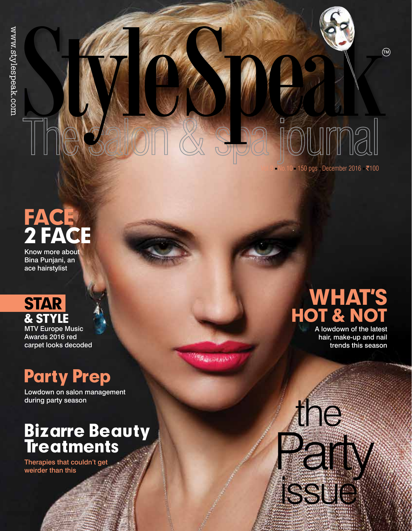# State Speak

■ 150 pgs December 2016 ₹100

## FAC 2 face Know more about

Bina Punjani, an ace hairstylist

# **STAR** & Style

MTV Europe Music Awards 2016 red carpet looks decoded

# Party Prep

Lowdown on salon management during party season

# Bizarre Beauty **Treatments**

Therapies that couldn't get weirder than this

# WHAT'S **DT &**

A lowdown of the latest hair, make-up and nail trends this season

**CONSECTION AND** 

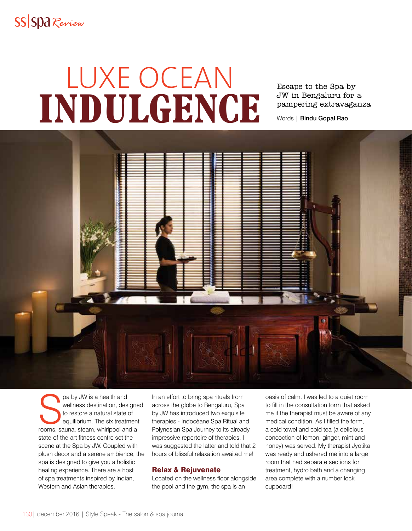ss | spa*Review*

# LUXE OCEAN Escape to the Spa by Indulgence

JW in Bengaluru for a pampering extravaganza

Words | Bindu Gopal Rao



pa by JW is a health and<br>wellness destination, designe<br>to restore a natural state of<br>equilibrium. The six treatment<br>rooms, sauna, steam, whirlpool and a pa by JW is a health and wellness destination, designed to restore a natural state of equilibrium. The six treatment state-of-the-art fitness centre set the scene at the Spa by JW. Coupled with plush decor and a serene ambience, the spa is designed to give you a holistic healing experience. There are a host of spa treatments inspired by Indian, Western and Asian therapies.

In an effort to bring spa rituals from across the globe to Bengaluru, Spa by JW has introduced two exquisite therapies - Indocéane Spa Ritual and Polynesian Spa Journey to its already impressive repertoire of therapies. I was suggested the latter and told that 2 hours of blissful relaxation awaited me!

#### Relax & Rejuvenate

Located on the wellness floor alongside the pool and the gym, the spa is an

oasis of calm. I was led to a quiet room to fill in the consultation form that asked me if the therapist must be aware of any medical condition. As I filled the form, a cold towel and cold tea (a delicious concoction of lemon, ginger, mint and honey) was served. My therapist Jyotika was ready and ushered me into a large room that had separate sections for treatment, hydro bath and a changing area complete with a number lock cupboard!